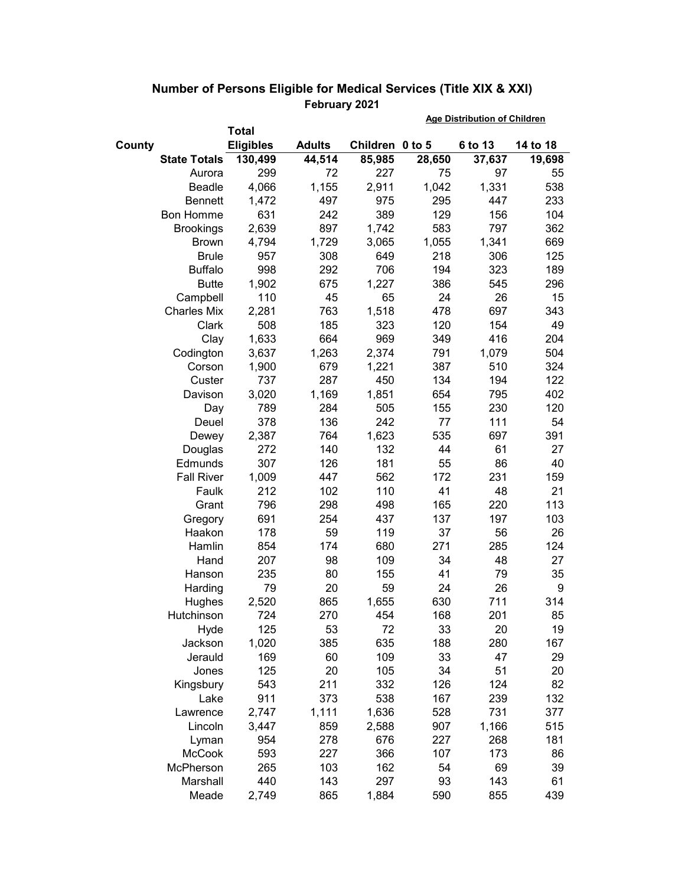|                     |                  |               | <b>Age Distribution of Children</b> |        |         |          |
|---------------------|------------------|---------------|-------------------------------------|--------|---------|----------|
|                     | <b>Total</b>     |               |                                     |        |         |          |
| County              | <b>Eligibles</b> | <b>Adults</b> | Children 0 to 5                     |        | 6 to 13 | 14 to 18 |
| <b>State Totals</b> | 130,499          | 44,514        | 85,985                              | 28,650 | 37,637  | 19,698   |
| Aurora              | 299              | 72            | 227                                 | 75     | 97      | 55       |
| <b>Beadle</b>       | 4,066            | 1,155         | 2,911                               | 1,042  | 1,331   | 538      |
| <b>Bennett</b>      | 1,472            | 497           | 975                                 | 295    | 447     | 233      |
| <b>Bon Homme</b>    | 631              | 242           | 389                                 | 129    | 156     | 104      |
| <b>Brookings</b>    | 2,639            | 897           | 1,742                               | 583    | 797     | 362      |
| <b>Brown</b>        | 4,794            | 1,729         | 3,065                               | 1,055  | 1,341   | 669      |
| <b>Brule</b>        | 957              | 308           | 649                                 | 218    | 306     | 125      |
| <b>Buffalo</b>      | 998              | 292           | 706                                 | 194    | 323     | 189      |
| <b>Butte</b>        | 1,902            | 675           | 1,227                               | 386    | 545     | 296      |
| Campbell            | 110              | 45            | 65                                  | 24     | 26      | 15       |
| <b>Charles Mix</b>  | 2,281            | 763           | 1,518                               | 478    | 697     | 343      |
| Clark               | 508              | 185           | 323                                 | 120    | 154     | 49       |
| Clay                | 1,633            | 664           | 969                                 | 349    | 416     | 204      |
| Codington           | 3,637            | 1,263         | 2,374                               | 791    | 1,079   | 504      |
| Corson              | 1,900            | 679           | 1,221                               | 387    | 510     | 324      |
| Custer              | 737              | 287           | 450                                 | 134    | 194     | 122      |
| Davison             | 3,020            | 1,169         | 1,851                               | 654    | 795     | 402      |
| Day                 | 789              | 284           | 505                                 | 155    | 230     | 120      |
| Deuel               | 378              | 136           | 242                                 | 77     | 111     | 54       |
| Dewey               | 2,387            | 764           | 1,623                               | 535    | 697     | 391      |
| Douglas             | 272              | 140           | 132                                 | 44     | 61      | 27       |
| Edmunds             | 307              | 126           | 181                                 | 55     | 86      | 40       |
| <b>Fall River</b>   | 1,009            | 447           | 562                                 | 172    | 231     | 159      |
| Faulk               | 212              | 102           | 110                                 | 41     | 48      | 21       |
| Grant               | 796              | 298           | 498                                 | 165    | 220     | 113      |
| Gregory             | 691              | 254           | 437                                 | 137    | 197     | 103      |
| Haakon              | 178              | 59            | 119                                 | 37     | 56      | 26       |
| Hamlin              | 854              | 174           | 680                                 | 271    | 285     | 124      |
| Hand                | 207              | 98            | 109                                 | 34     | 48      | 27       |
| Hanson              | 235              | 80            | 155                                 | 41     | 79      | 35       |
| Harding             | 79               | 20            | 59                                  | 24     | 26      | 9        |
| Hughes              | 2,520            | 865           | 1,655                               | 630    | 711     | 314      |
| Hutchinson          | 724              | 270           | 454                                 | 168    | 201     | 85       |
| Hyde                | 125              | 53            | 72                                  | 33     | 20      | 19       |
| Jackson             | 1,020            | 385           | 635                                 | 188    | 280     | 167      |
| Jerauld             | 169              | 60            | 109                                 | 33     | 47      | 29       |
| Jones               | 125              | 20            | 105                                 | 34     | 51      | 20       |
| Kingsbury           | 543              | 211           | 332                                 | 126    | 124     | 82       |
| Lake                | 911              | 373           | 538                                 | 167    | 239     | 132      |
| Lawrence            | 2,747            | 1,111         | 1,636                               | 528    | 731     | 377      |
| Lincoln             | 3,447            | 859           | 2,588                               | 907    | 1,166   | 515      |
| Lyman               | 954              | 278           | 676                                 | 227    | 268     | 181      |
| <b>McCook</b>       | 593              | 227           | 366                                 | 107    | 173     | 86       |
| McPherson           | 265              | 103           | 162                                 | 54     | 69      | 39       |
| Marshall            | 440              | 143           | 297                                 | 93     | 143     | 61       |
| Meade               | 2,749            | 865           | 1,884                               | 590    | 855     | 439      |

## **Number of Persons Eligible for Medical Services (Title XIX & XXI) February 2021**